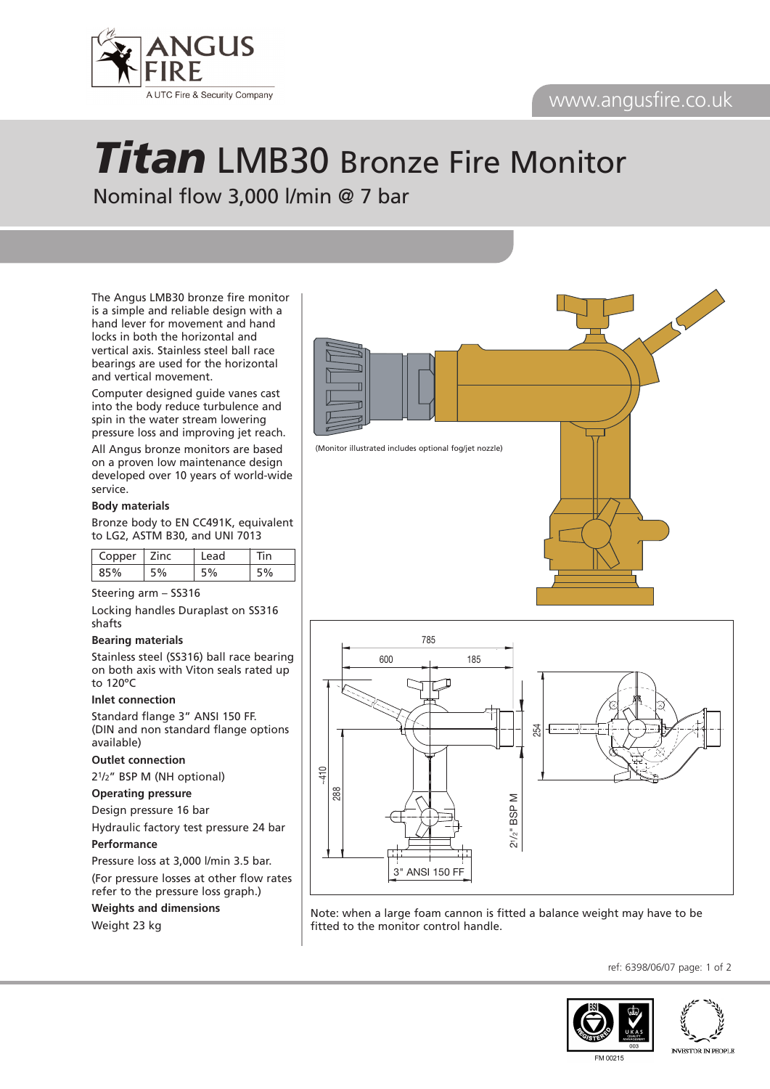# www.angusfire.co.uk



# *Titan* LMB30 Bronze Fire Monitor Nominal flow 3,000 l/min @ 7 bar

The Angus LMB30 bronze fire monitor is a simple and reliable design with a hand lever for movement and hand locks in both the horizontal and vertical axis. Stainless steel ball race bearings are used for the horizontal and vertical movement.

Computer designed guide vanes cast into the body reduce turbulence and spin in the water stream lowering pressure loss and improving jet reach.

All Angus bronze monitors are based on a proven low maintenance design developed over 10 years of world-wide service.

#### **Body materials**

Bronze body to EN CC491K, equivalent to LG2, ASTM B30, and UNI 7013

| opper | Zinc | ıd | n |
|-------|------|----|---|
|       |      |    |   |

#### Steering arm – SS316

Locking handles Duraplast on SS316 shafts

#### **Bearing materials**

Stainless steel (SS316) ball race bearing on both axis with Viton seals rated up to 120ºC

#### **Inlet connection**

Standard flange 3" ANSI 150 FF. (DIN and non standard flange options available)

### **Outlet connection**

21/2" BSP M (NH optional)

### **Operating pressure**

Design pressure 16 bar Hydraulic factory test pressure 24 bar

#### **Performance**

Pressure loss at 3,000 l/min 3.5 bar. (For pressure losses at other flow rates refer to the pressure loss graph.)

254

**Weights and dimensions** Weight 23 kg



MSS 065



Note: when a large foam cannon is fitted a balance weight may have to be fitted to the monitor control handle.

ref: 6398/06/07 page: 1 of 2





FM 00215

**INVESTOR IN PEOPLE**